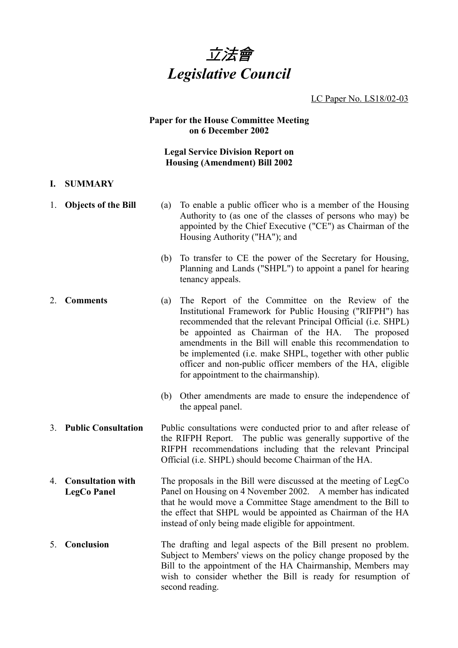

LC Paper No. LS18/02-03

#### **Paper for the House Committee Meeting on 6 December 2002**

#### **Legal Service Division Report on Housing (Amendment) Bill 2002**

#### **I. SUMMARY**

- 1. **Objects of the Bill** (a) To enable a public officer who is a member of the Housing Authority to (as one of the classes of persons who may) be appointed by the Chief Executive ("CE") as Chairman of the Housing Authority ("HA"); and (b) To transfer to CE the power of the Secretary for Housing, Planning and Lands ("SHPL") to appoint a panel for hearing tenancy appeals.
- 2. **Comments** (a) The Report of the Committee on the Review of the Institutional Framework for Public Housing ("RIFPH") has recommended that the relevant Principal Official (i.e. SHPL) be appointed as Chairman of the HA. The proposed amendments in the Bill will enable this recommendation to be implemented (i.e. make SHPL, together with other public officer and non-public officer members of the HA, eligible for appointment to the chairmanship).
	- (b) Other amendments are made to ensure the independence of the appeal panel.
- 3. **Public Consultation** Public consultations were conducted prior to and after release of the RIFPH Report. The public was generally supportive of the RIFPH recommendations including that the relevant Principal Official (i.e. SHPL) should become Chairman of the HA.
- 4. **Consultation with LegCo Panel** The proposals in the Bill were discussed at the meeting of LegCo Panel on Housing on 4 November 2002. A member has indicated that he would move a Committee Stage amendment to the Bill to the effect that SHPL would be appointed as Chairman of the HA instead of only being made eligible for appointment.
- 5. **Conclusion** The drafting and legal aspects of the Bill present no problem. Subject to Members' views on the policy change proposed by the Bill to the appointment of the HA Chairmanship, Members may wish to consider whether the Bill is ready for resumption of second reading.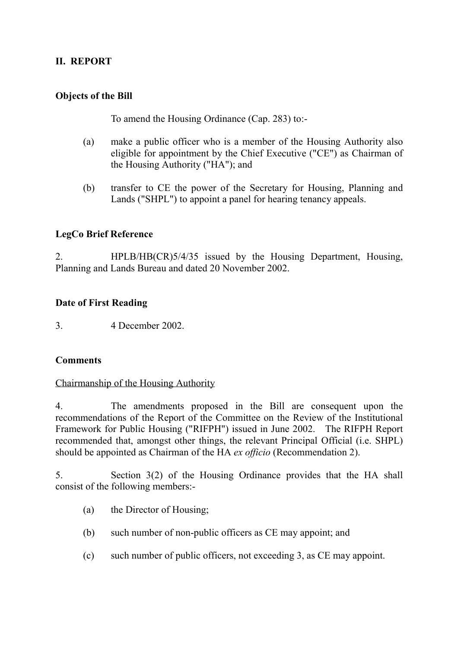## **II. REPORT**

## **Objects of the Bill**

To amend the Housing Ordinance (Cap. 283) to:-

- (a) make a public officer who is a member of the Housing Authority also eligible for appointment by the Chief Executive ("CE") as Chairman of the Housing Authority ("HA"); and
- (b) transfer to CE the power of the Secretary for Housing, Planning and Lands ("SHPL") to appoint a panel for hearing tenancy appeals.

### **LegCo Brief Reference**

2. HPLB/HB(CR)5/4/35 issued by the Housing Department, Housing, Planning and Lands Bureau and dated 20 November 2002.

### **Date of First Reading**

3. 4 December 2002.

### **Comments**

#### Chairmanship of the Housing Authority

4. The amendments proposed in the Bill are consequent upon the recommendations of the Report of the Committee on the Review of the Institutional Framework for Public Housing ("RIFPH") issued in June 2002. The RIFPH Report recommended that, amongst other things, the relevant Principal Official (i.e. SHPL) should be appointed as Chairman of the HA *ex officio* (Recommendation 2).

5. Section 3(2) of the Housing Ordinance provides that the HA shall consist of the following members:-

- (a) the Director of Housing;
- (b) such number of non-public officers as CE may appoint; and
- (c) such number of public officers, not exceeding 3, as CE may appoint.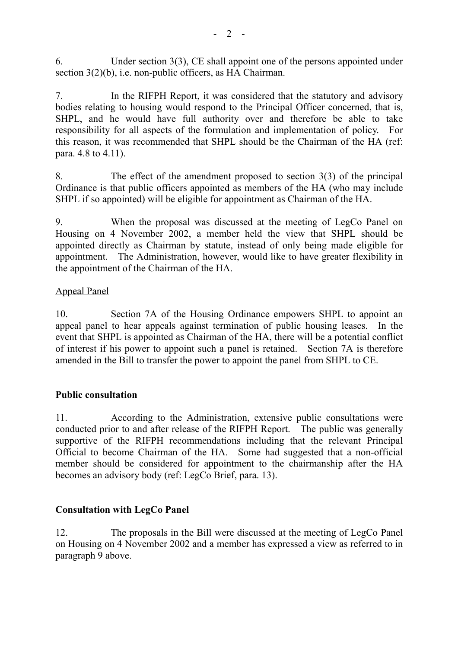6. Under section 3(3), CE shall appoint one of the persons appointed under section 3(2)(b), i.e. non-public officers, as HA Chairman.

7. In the RIFPH Report, it was considered that the statutory and advisory bodies relating to housing would respond to the Principal Officer concerned, that is, SHPL, and he would have full authority over and therefore be able to take responsibility for all aspects of the formulation and implementation of policy. For this reason, it was recommended that SHPL should be the Chairman of the HA (ref: para. 4.8 to 4.11).

8. The effect of the amendment proposed to section 3(3) of the principal Ordinance is that public officers appointed as members of the HA (who may include SHPL if so appointed) will be eligible for appointment as Chairman of the HA.

9. When the proposal was discussed at the meeting of LegCo Panel on Housing on 4 November 2002, a member held the view that SHPL should be appointed directly as Chairman by statute, instead of only being made eligible for appointment. The Administration, however, would like to have greater flexibility in the appointment of the Chairman of the HA.

## Appeal Panel

10. Section 7A of the Housing Ordinance empowers SHPL to appoint an appeal panel to hear appeals against termination of public housing leases. In the event that SHPL is appointed as Chairman of the HA, there will be a potential conflict of interest if his power to appoint such a panel is retained. Section 7A is therefore amended in the Bill to transfer the power to appoint the panel from SHPL to CE.

### **Public consultation**

11. According to the Administration, extensive public consultations were conducted prior to and after release of the RIFPH Report. The public was generally supportive of the RIFPH recommendations including that the relevant Principal Official to become Chairman of the HA. Some had suggested that a non-official member should be considered for appointment to the chairmanship after the HA becomes an advisory body (ref: LegCo Brief, para. 13).

# **Consultation with LegCo Panel**

12. The proposals in the Bill were discussed at the meeting of LegCo Panel on Housing on 4 November 2002 and a member has expressed a view as referred to in paragraph 9 above.